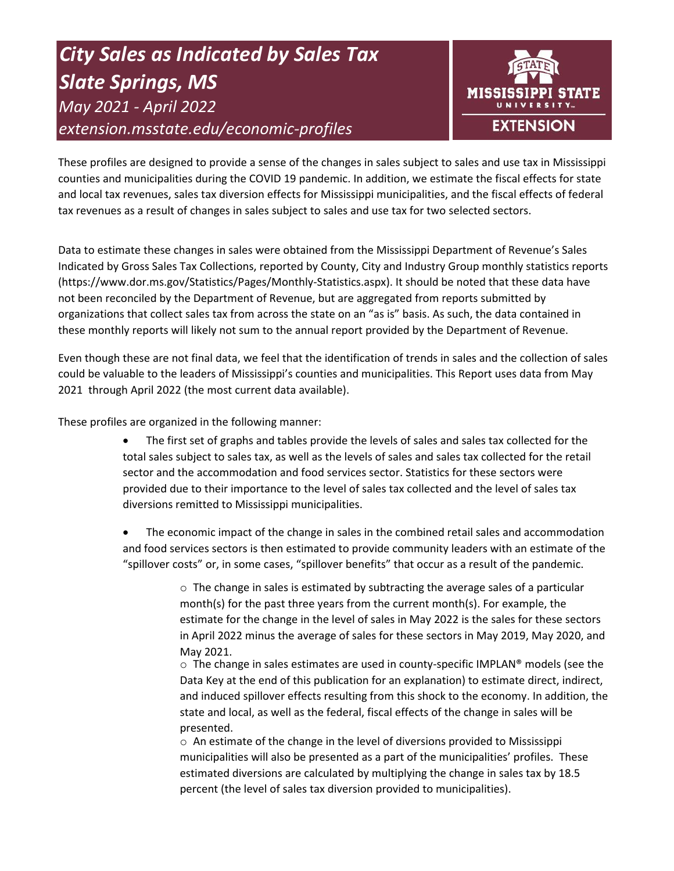# *City Sales as Indicated by Sales Tax Slate Springs, MS May 2021 - April 2022 extension.msstate.edu/economic-profiles*



These profiles are designed to provide a sense of the changes in sales subject to sales and use tax in Mississippi counties and municipalities during the COVID 19 pandemic. In addition, we estimate the fiscal effects for state and local tax revenues, sales tax diversion effects for Mississippi municipalities, and the fiscal effects of federal tax revenues as a result of changes in sales subject to sales and use tax for two selected sectors.

Data to estimate these changes in sales were obtained from the Mississippi Department of Revenue's Sales Indicated by Gross Sales Tax Collections, reported by County, City and Industry Group monthly statistics reports (https://www.dor.ms.gov/Statistics/Pages/Monthly-Statistics.aspx). It should be noted that these data have not been reconciled by the Department of Revenue, but are aggregated from reports submitted by organizations that collect sales tax from across the state on an "as is" basis. As such, the data contained in these monthly reports will likely not sum to the annual report provided by the Department of Revenue.

Even though these are not final data, we feel that the identification of trends in sales and the collection of sales could be valuable to the leaders of Mississippi's counties and municipalities. This Report uses data from May 2021 through April 2022 (the most current data available).

These profiles are organized in the following manner:

- The first set of graphs and tables provide the levels of sales and sales tax collected for the total sales subject to sales tax, as well as the levels of sales and sales tax collected for the retail sector and the accommodation and food services sector. Statistics for these sectors were provided due to their importance to the level of sales tax collected and the level of sales tax diversions remitted to Mississippi municipalities.
- The economic impact of the change in sales in the combined retail sales and accommodation and food services sectors is then estimated to provide community leaders with an estimate of the "spillover costs" or, in some cases, "spillover benefits" that occur as a result of the pandemic.

 $\circ$  The change in sales is estimated by subtracting the average sales of a particular month(s) for the past three years from the current month(s). For example, the estimate for the change in the level of sales in May 2022 is the sales for these sectors in April 2022 minus the average of sales for these sectors in May 2019, May 2020, and May 2021.

 $\circ$  The change in sales estimates are used in county-specific IMPLAN® models (see the Data Key at the end of this publication for an explanation) to estimate direct, indirect, and induced spillover effects resulting from this shock to the economy. In addition, the state and local, as well as the federal, fiscal effects of the change in sales will be presented.

 $\circ$  An estimate of the change in the level of diversions provided to Mississippi municipalities will also be presented as a part of the municipalities' profiles. These estimated diversions are calculated by multiplying the change in sales tax by 18.5 percent (the level of sales tax diversion provided to municipalities).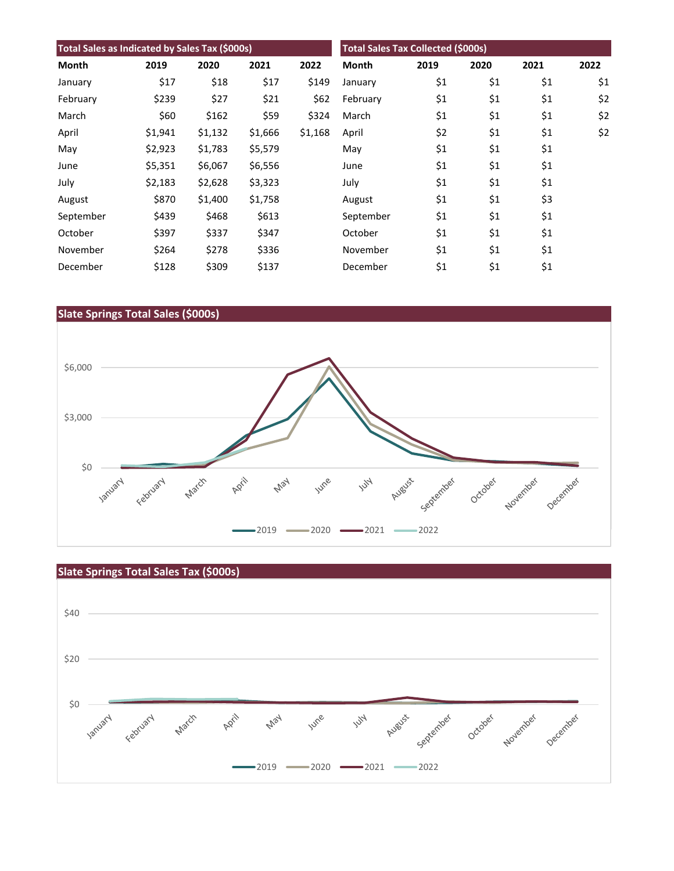| Total Sales as Indicated by Sales Tax (\$000s) |         |         |         | <b>Total Sales Tax Collected (\$000s)</b> |           |      |      |      |      |
|------------------------------------------------|---------|---------|---------|-------------------------------------------|-----------|------|------|------|------|
| Month                                          | 2019    | 2020    | 2021    | 2022                                      | Month     | 2019 | 2020 | 2021 | 2022 |
| January                                        | \$17    | \$18    | \$17    | \$149                                     | January   | \$1  | \$1  | \$1  | \$1  |
| February                                       | \$239   | \$27    | \$21    | \$62                                      | February  | \$1  | \$1  | \$1  | \$2  |
| March                                          | \$60    | \$162   | \$59    | \$324                                     | March     | \$1  | \$1  | \$1  | \$2  |
| April                                          | \$1,941 | \$1,132 | \$1,666 | \$1,168                                   | April     | \$2  | \$1  | \$1  | \$2  |
| May                                            | \$2,923 | \$1,783 | \$5,579 |                                           | May       | \$1  | \$1  | \$1  |      |
| June                                           | \$5,351 | \$6,067 | \$6,556 |                                           | June      | \$1  | \$1  | \$1  |      |
| July                                           | \$2,183 | \$2,628 | \$3,323 |                                           | July      | \$1  | \$1  | \$1  |      |
| August                                         | \$870   | \$1,400 | \$1,758 |                                           | August    | \$1  | \$1  | \$3  |      |
| September                                      | \$439   | \$468   | \$613   |                                           | September | \$1  | \$1  | \$1  |      |
| October                                        | \$397   | \$337   | \$347   |                                           | October   | \$1  | \$1  | \$1  |      |
| November                                       | \$264   | \$278   | \$336   |                                           | November  | \$1  | \$1  | \$1  |      |
| December                                       | \$128   | \$309   | \$137   |                                           | December  | \$1  | \$1  | \$1  |      |





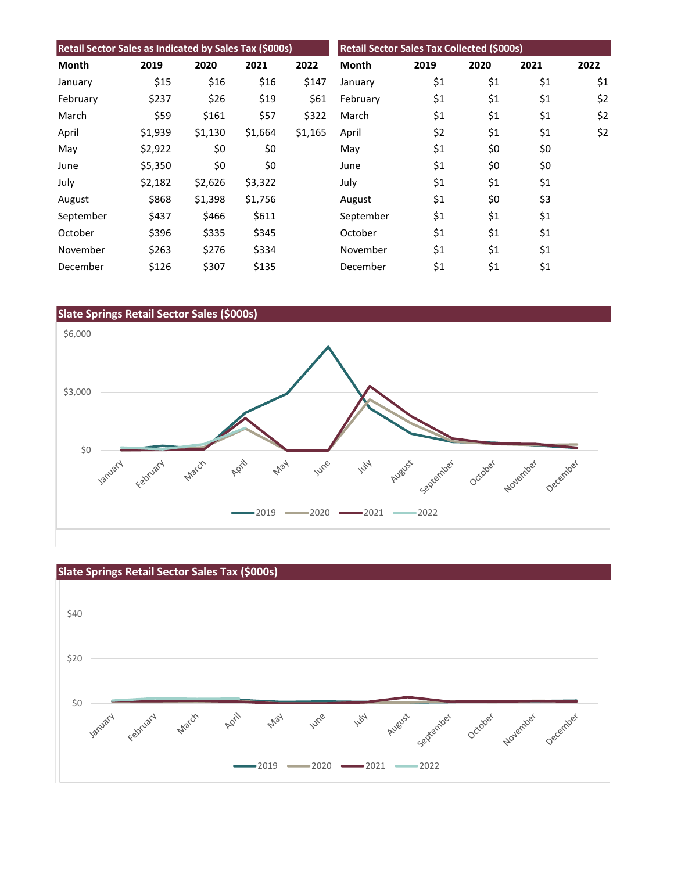| Retail Sector Sales as Indicated by Sales Tax (\$000s) |         |         |         | Retail Sector Sales Tax Collected (\$000s) |              |      |      |      |      |
|--------------------------------------------------------|---------|---------|---------|--------------------------------------------|--------------|------|------|------|------|
| Month                                                  | 2019    | 2020    | 2021    | 2022                                       | <b>Month</b> | 2019 | 2020 | 2021 | 2022 |
| January                                                | \$15    | \$16    | \$16    | \$147                                      | January      | \$1  | \$1  | \$1  | \$1  |
| February                                               | \$237   | \$26    | \$19    | \$61                                       | February     | \$1  | \$1  | \$1  | \$2  |
| March                                                  | \$59    | \$161   | \$57    | \$322                                      | March        | \$1  | \$1  | \$1  | \$2  |
| April                                                  | \$1,939 | \$1,130 | \$1,664 | \$1,165                                    | April        | \$2  | \$1  | \$1  | \$2  |
| May                                                    | \$2,922 | \$0     | \$0     |                                            | May          | \$1  | \$0  | \$0  |      |
| June                                                   | \$5,350 | \$0     | \$0     |                                            | June         | \$1  | \$0  | \$0  |      |
| July                                                   | \$2,182 | \$2,626 | \$3,322 |                                            | July         | \$1  | \$1  | \$1  |      |
| August                                                 | \$868   | \$1,398 | \$1,756 |                                            | August       | \$1  | \$0  | \$3  |      |
| September                                              | \$437   | \$466   | \$611   |                                            | September    | \$1  | \$1  | \$1  |      |
| October                                                | \$396   | \$335   | \$345   |                                            | October      | \$1  | \$1  | \$1  |      |
| November                                               | \$263   | \$276   | \$334   |                                            | November     | \$1  | \$1  | \$1  |      |
| December                                               | \$126   | \$307   | \$135   |                                            | December     | \$1  | \$1  | \$1  |      |





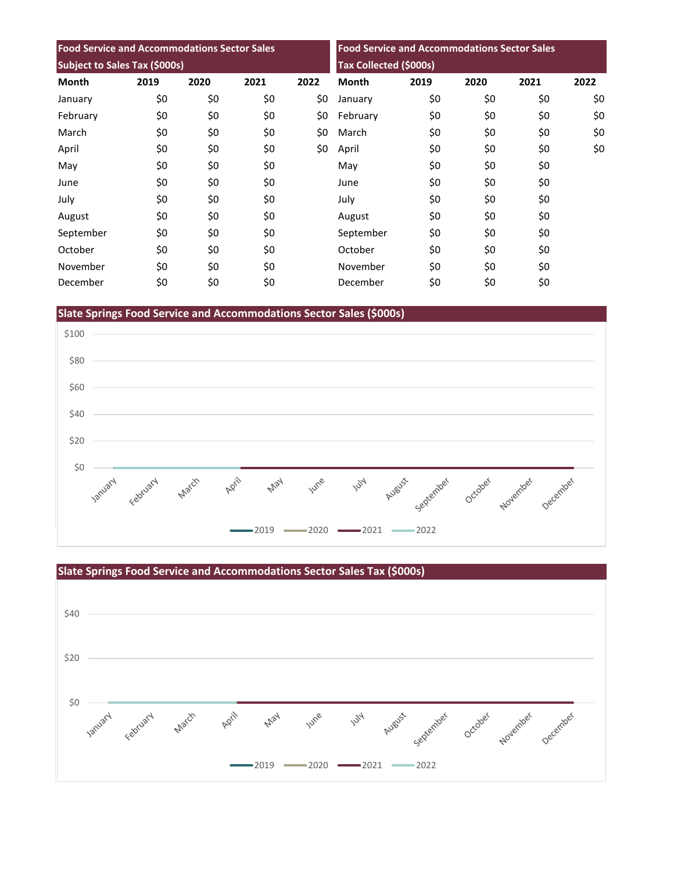| <b>Food Service and Accommodations Sector Sales</b> |      |      |      | <b>Food Service and Accommodations Sector Sales</b><br>Tax Collected (\$000s) |              |      |      |      |      |
|-----------------------------------------------------|------|------|------|-------------------------------------------------------------------------------|--------------|------|------|------|------|
| Subject to Sales Tax (\$000s)                       |      |      |      |                                                                               |              |      |      |      |      |
| <b>Month</b>                                        | 2019 | 2020 | 2021 | 2022                                                                          | <b>Month</b> | 2019 | 2020 | 2021 | 2022 |
| January                                             | \$0  | \$0  | \$0  | \$0                                                                           | January      | \$0  | \$0  | \$0  | \$0  |
| February                                            | \$0  | \$0  | \$0  | \$0                                                                           | February     | \$0  | \$0  | \$0  | \$0  |
| March                                               | \$0  | \$0  | \$0  | \$0                                                                           | March        | \$0  | \$0  | \$0  | \$0  |
| April                                               | \$0  | \$0  | \$0  | \$0                                                                           | April        | \$0  | \$0  | \$0  | \$0  |
| May                                                 | \$0  | \$0  | \$0  |                                                                               | May          | \$0  | \$0  | \$0  |      |
| June                                                | \$0  | \$0  | \$0  |                                                                               | June         | \$0  | \$0  | \$0  |      |
| July                                                | \$0  | \$0  | \$0  |                                                                               | July         | \$0  | \$0  | \$0  |      |
| August                                              | \$0  | \$0  | \$0  |                                                                               | August       | \$0  | \$0  | \$0  |      |
| September                                           | \$0  | \$0  | \$0  |                                                                               | September    | \$0  | \$0  | \$0  |      |
| October                                             | \$0  | \$0  | \$0  |                                                                               | October      | \$0  | \$0  | \$0  |      |
| November                                            | \$0  | \$0  | \$0  |                                                                               | November     | \$0  | \$0  | \$0  |      |
| December                                            | \$0  | \$0  | \$0  |                                                                               | December     | \$0  | \$0  | \$0  |      |

**Slate Springs Food Service and Accommodations Sector Sales (\$000s)**



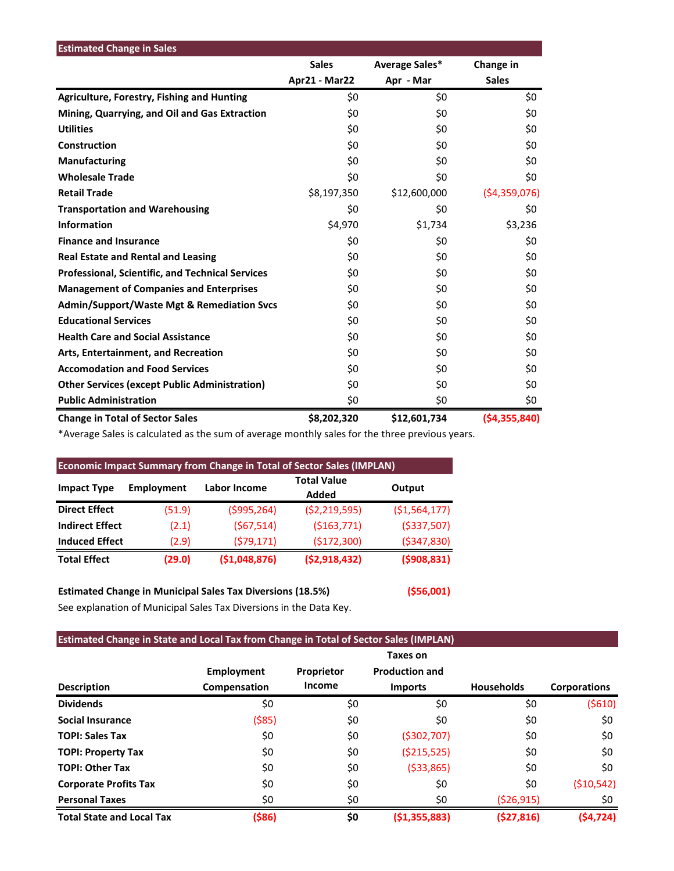| <b>Estimated Change in Sales</b>                        |               |                |                |
|---------------------------------------------------------|---------------|----------------|----------------|
|                                                         | <b>Sales</b>  | Average Sales* | Change in      |
|                                                         | Apr21 - Mar22 | Apr - Mar      | <b>Sales</b>   |
| <b>Agriculture, Forestry, Fishing and Hunting</b>       | \$0           | \$0            | \$0            |
| Mining, Quarrying, and Oil and Gas Extraction           | \$0           | \$0            | \$0            |
| <b>Utilities</b>                                        | \$0           | \$0            | \$0            |
| Construction                                            | \$0           | \$0            | \$0            |
| <b>Manufacturing</b>                                    | \$0           | \$0            | \$0            |
| <b>Wholesale Trade</b>                                  | \$0           | \$0            | \$0            |
| <b>Retail Trade</b>                                     | \$8,197,350   | \$12,600,000   | (54,359,076)   |
| <b>Transportation and Warehousing</b>                   | \$0           | \$0            | \$0            |
| <b>Information</b>                                      | \$4,970       | \$1,734        | \$3,236        |
| <b>Finance and Insurance</b>                            | \$0           | \$0            | \$0            |
| <b>Real Estate and Rental and Leasing</b>               | \$0           | \$0            | \$0            |
| <b>Professional, Scientific, and Technical Services</b> | \$0           | \$0            | \$0            |
| <b>Management of Companies and Enterprises</b>          | \$0           | \$0            | \$0            |
| <b>Admin/Support/Waste Mgt &amp; Remediation Svcs</b>   | \$0           | \$0            | \$0            |
| <b>Educational Services</b>                             | \$0           | \$0            | \$0            |
| <b>Health Care and Social Assistance</b>                | \$0           | \$0            | \$0            |
| Arts, Entertainment, and Recreation                     | \$0           | \$0            | \$0            |
| <b>Accomodation and Food Services</b>                   | \$0           | \$0            | \$0            |
| <b>Other Services (except Public Administration)</b>    | \$0           | \$0            | \$0            |
| <b>Public Administration</b>                            | \$0           | \$0            | \$0            |
| <b>Change in Total of Sector Sales</b>                  | \$8,202,320   | \$12,601,734   | ( \$4,355,840) |

\*Average Sales is calculated as the sum of average monthly sales for the three previous years.

| <b>Economic Impact Summary from Change in Total of Sector Sales (IMPLAN)</b> |                   |                             |                  |                |  |  |  |  |
|------------------------------------------------------------------------------|-------------------|-----------------------------|------------------|----------------|--|--|--|--|
| <b>Impact Type</b>                                                           | <b>Employment</b> | <b>Total Value</b><br>Added | Output           |                |  |  |  |  |
| <b>Direct Effect</b>                                                         | (51.9)            | ( \$995, 264)               | ( \$2, 219, 595) | ( \$1,564,177) |  |  |  |  |
| <b>Indirect Effect</b>                                                       | (2.1)             | (567, 514)                  | ( \$163, 771)    | ( \$337,507)   |  |  |  |  |
| <b>Induced Effect</b>                                                        | (2.9)             | (579, 171)                  | (\$172,300)      | ( \$347, 830)  |  |  |  |  |
| <b>Total Effect</b>                                                          | (29.0)            | (51,048,876)                | (52,918,432)     | (5908, 831)    |  |  |  |  |

**Estimated Change in Municipal Sales Tax Diversions (18.5%) (\$56,001)** See explanation of Municipal Sales Tax Diversions in the Data Key.

# **Estimated Change in State and Local Tax from Change in Total of Sector Sales (IMPLAN)**

|                                  |                   |            | Taxes on              |                   |                     |
|----------------------------------|-------------------|------------|-----------------------|-------------------|---------------------|
|                                  | <b>Employment</b> | Proprietor | <b>Production and</b> |                   |                     |
| <b>Description</b>               | Compensation      | Income     | <b>Imports</b>        | <b>Households</b> | <b>Corporations</b> |
| <b>Dividends</b>                 | \$0               | \$0        | \$0                   | \$0               | (5610)              |
| <b>Social Insurance</b>          | ( \$85)           | \$0        | \$0                   | \$0               | \$0                 |
| <b>TOPI: Sales Tax</b>           | \$0               | \$0        | ( \$302, 707)         | \$0               | \$0                 |
| <b>TOPI: Property Tax</b>        | \$0               | \$0        | ( \$215, 525)         | \$0               | \$0                 |
| <b>TOPI: Other Tax</b>           | \$0               | \$0        | ( \$33, 865)          | \$0               | \$0                 |
| <b>Corporate Profits Tax</b>     | \$0               | \$0        | \$0                   | \$0               | ( \$10,542)         |
| <b>Personal Taxes</b>            | \$0               | \$0        | \$0                   | (526, 915)        | \$0                 |
| <b>Total State and Local Tax</b> | ( \$86)           | \$0        | (51, 355, 883)        | ( \$27, 816)      | (54, 724)           |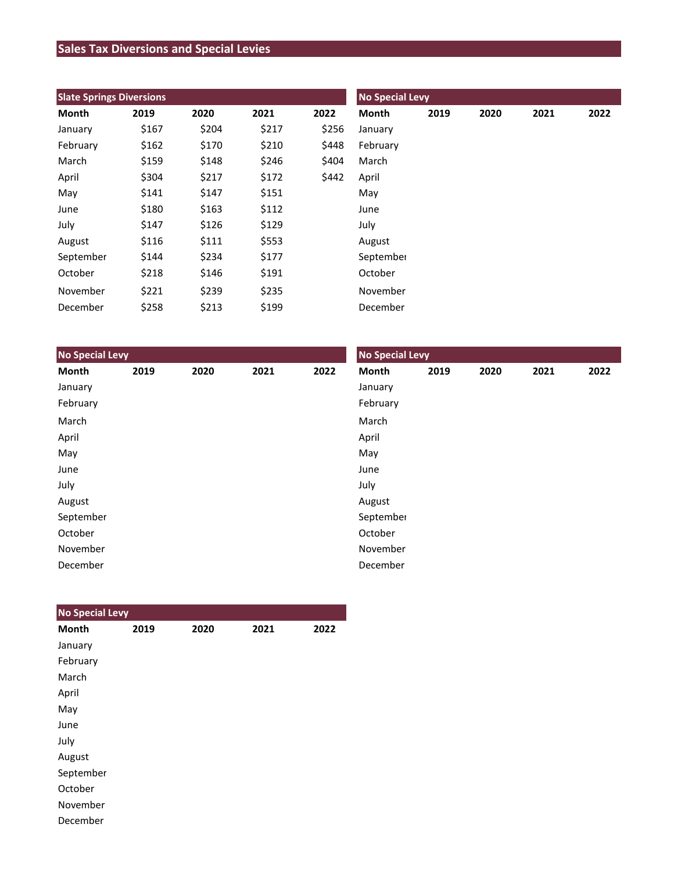# **Sales Tax Diversions and Special Levies**

| <b>Slate Springs Diversions</b> |       |       |       |       | <b>No Special Levy</b> |      |      |      |      |  |
|---------------------------------|-------|-------|-------|-------|------------------------|------|------|------|------|--|
| Month                           | 2019  | 2020  | 2021  | 2022  | Month                  | 2019 | 2020 | 2021 | 2022 |  |
| January                         | \$167 | \$204 | \$217 | \$256 | January                |      |      |      |      |  |
| February                        | \$162 | \$170 | \$210 | \$448 | February               |      |      |      |      |  |
| March                           | \$159 | \$148 | \$246 | \$404 | March                  |      |      |      |      |  |
| April                           | \$304 | \$217 | \$172 | \$442 | April                  |      |      |      |      |  |
| May                             | \$141 | \$147 | \$151 |       | May                    |      |      |      |      |  |
| June                            | \$180 | \$163 | \$112 |       | June                   |      |      |      |      |  |
| July                            | \$147 | \$126 | \$129 |       | July                   |      |      |      |      |  |
| August                          | \$116 | \$111 | \$553 |       | August                 |      |      |      |      |  |
| September                       | \$144 | \$234 | \$177 |       | September              |      |      |      |      |  |
| October                         | \$218 | \$146 | \$191 |       | October                |      |      |      |      |  |
| November                        | \$221 | \$239 | \$235 |       | November               |      |      |      |      |  |
| December                        | \$258 | \$213 | \$199 |       | December               |      |      |      |      |  |

| <b>No Special Levy</b> |      |      |      |      | <b>No Special Levy</b> |      |      |      |      |  |
|------------------------|------|------|------|------|------------------------|------|------|------|------|--|
| Month                  | 2019 | 2020 | 2021 | 2022 | Month                  | 2019 | 2020 | 2021 | 2022 |  |
| January                |      |      |      |      | January                |      |      |      |      |  |
| February               |      |      |      |      | February               |      |      |      |      |  |
| March                  |      |      |      |      | March                  |      |      |      |      |  |
| April                  |      |      |      |      | April                  |      |      |      |      |  |
| May                    |      |      |      |      | May                    |      |      |      |      |  |
| June                   |      |      |      |      | June                   |      |      |      |      |  |
| July                   |      |      |      |      | July                   |      |      |      |      |  |
| August                 |      |      |      |      | August                 |      |      |      |      |  |
| September              |      |      |      |      | September              |      |      |      |      |  |
| October                |      |      |      |      | October                |      |      |      |      |  |
| November               |      |      |      |      | November               |      |      |      |      |  |
| December               |      |      |      |      | December               |      |      |      |      |  |

| <b>No Special Levy</b> |      |      |      |      |
|------------------------|------|------|------|------|
| <b>Month</b>           | 2019 | 2020 | 2021 | 2022 |
| January                |      |      |      |      |
| February               |      |      |      |      |
| March                  |      |      |      |      |
| April                  |      |      |      |      |
| May                    |      |      |      |      |
| June                   |      |      |      |      |
| July                   |      |      |      |      |
| August                 |      |      |      |      |
| September              |      |      |      |      |
| October                |      |      |      |      |
| November               |      |      |      |      |
| December               |      |      |      |      |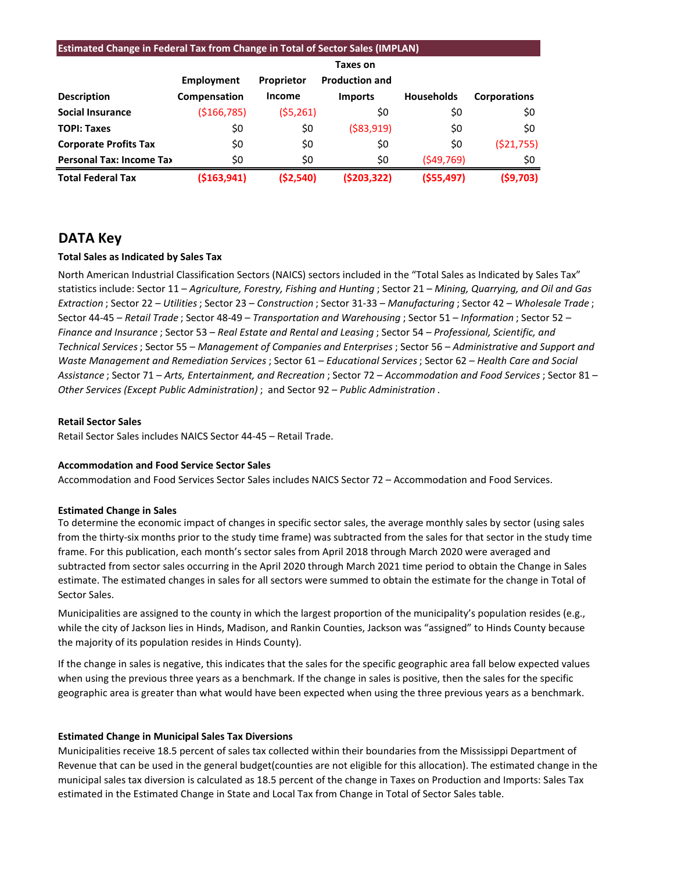| <b>Estimated Change in Federal Tax from Change in Total of Sector Sales (IMPLAN)</b> |               |                   |                       |                   |                     |  |  |  |  |
|--------------------------------------------------------------------------------------|---------------|-------------------|-----------------------|-------------------|---------------------|--|--|--|--|
|                                                                                      | Taxes on      |                   |                       |                   |                     |  |  |  |  |
|                                                                                      | Employment    | <b>Proprietor</b> | <b>Production and</b> |                   |                     |  |  |  |  |
| <b>Description</b>                                                                   | Compensation  | Income            | <b>Imports</b>        | <b>Households</b> | <b>Corporations</b> |  |  |  |  |
| <b>Social Insurance</b>                                                              | ( \$166, 785) | (55,261)          | \$0                   | \$0               | \$0                 |  |  |  |  |
| <b>TOPI: Taxes</b>                                                                   | \$0           | \$0               | ( \$83, 919)          | \$0               | \$0                 |  |  |  |  |
| <b>Corporate Profits Tax</b>                                                         | \$0           | \$0               | \$0                   | \$0               | (521,755)           |  |  |  |  |
| <b>Personal Tax: Income Tax</b>                                                      | \$0           | \$0               | \$0                   | (549, 769)        | \$0                 |  |  |  |  |
| <b>Total Federal Tax</b>                                                             | ( \$163, 941) | ( \$2,540)        | (5203, 322)           | ( \$55,497)       | (59,703)            |  |  |  |  |

# **DATA Key**

# **Total Sales as Indicated by Sales Tax**

North American Industrial Classification Sectors (NAICS) sectors included in the "Total Sales as Indicated by Sales Tax" statistics include: Sector 11 – *Agriculture, Forestry, Fishing and Hunting* ; Sector 21 – *Mining, Quarrying, and Oil and Gas Extraction* ; Sector 22 – *Utilities*; Sector 23 – *Construction* ; Sector 31-33 – *Manufacturing* ; Sector 42 – *Wholesale Trade* ; Sector 44-45 – *Retail Trade* ; Sector 48-49 – *Transportation and Warehousing* ; Sector 51 – *Information* ; Sector 52 – *Finance and Insurance* ; Sector 53 – *Real Estate and Rental and Leasing* ; Sector 54 – *Professional, Scientific, and Technical Services*; Sector 55 – *Management of Companies and Enterprises* ; Sector 56 – *Administrative and Support and Waste Management and Remediation Services* ; Sector 61 – *Educational Services*; Sector 62 – *Health Care and Social Assistance* ; Sector 71 – *Arts, Entertainment, and Recreation* ; Sector 72 – *Accommodation and Food Services* ; Sector 81 – *Other Services (Except Public Administration)* ; and Sector 92 – *Public Administration* .

### **Retail Sector Sales**

Retail Sector Sales includes NAICS Sector 44-45 – Retail Trade.

## **Accommodation and Food Service Sector Sales**

Accommodation and Food Services Sector Sales includes NAICS Sector 72 – Accommodation and Food Services.

## **Estimated Change in Sales**

To determine the economic impact of changes in specific sector sales, the average monthly sales by sector (using sales from the thirty-six months prior to the study time frame) was subtracted from the sales for that sector in the study time frame. For this publication, each month's sector sales from April 2018 through March 2020 were averaged and subtracted from sector sales occurring in the April 2020 through March 2021 time period to obtain the Change in Sales estimate. The estimated changes in sales for all sectors were summed to obtain the estimate for the change in Total of Sector Sales.

Municipalities are assigned to the county in which the largest proportion of the municipality's population resides (e.g., while the city of Jackson lies in Hinds, Madison, and Rankin Counties, Jackson was "assigned" to Hinds County because the majority of its population resides in Hinds County).

If the change in sales is negative, this indicates that the sales for the specific geographic area fall below expected values when using the previous three years as a benchmark. If the change in sales is positive, then the sales for the specific geographic area is greater than what would have been expected when using the three previous years as a benchmark.

## **Estimated Change in Municipal Sales Tax Diversions**

Municipalities receive 18.5 percent of sales tax collected within their boundaries from the Mississippi Department of Revenue that can be used in the general budget(counties are not eligible for this allocation). The estimated change in the municipal sales tax diversion is calculated as 18.5 percent of the change in Taxes on Production and Imports: Sales Tax estimated in the Estimated Change in State and Local Tax from Change in Total of Sector Sales table.